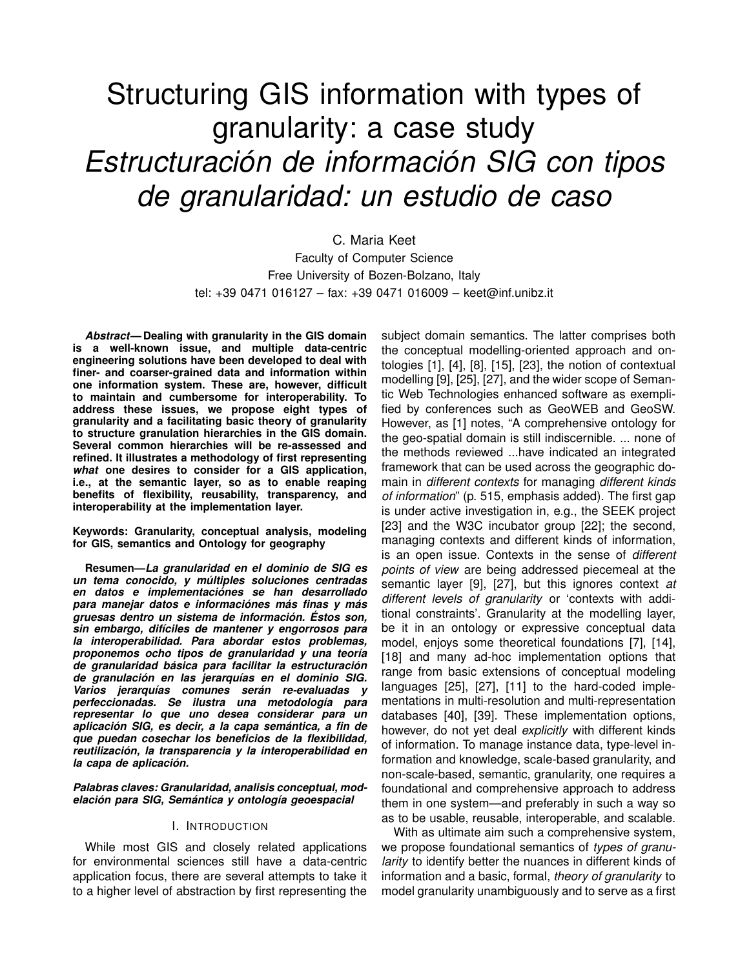# Structuring GIS information with types of granularity: a case study *Estructuración de información SIG con tipos de granularidad: un estudio de caso*

## C. Maria Keet Faculty of Computer Science Free University of Bozen-Bolzano, Italy tel: +39 0471 016127 – fax: +39 0471 016009 – keet@inf.unibz.it

*Abstract***— Dealing with granularity in the GIS domain is a well-known issue, and multiple data-centric engineering solutions have been developed to deal with finer- and coarser-grained data and information within one information system. These are, however, difficult to maintain and cumbersome for interoperability. To address these issues, we propose eight types of granularity and a facilitating basic theory of granularity to structure granulation hierarchies in the GIS domain. Several common hierarchies will be re-assessed and refined. It illustrates a methodology of first representing** *what* **one desires to consider for a GIS application, i.e., at the semantic layer, so as to enable reaping benefits of flexibility, reusability, transparency, and interoperability at the implementation layer.**

**Keywords: Granularity, conceptual analysis, modeling for GIS, semantics and Ontology for geography**

**Resumen—***La granularidad en el dominio de SIG es un tema conocido, y múltiples soluciones centradas en datos e implementaciónes se han desarrollado para manejar datos e informaciónes más finas y más gruesas dentro un sistema de información. Éstos son, sin embargo, difíciles de mantener y engorrosos para la interoperabilidad. Para abordar estos problemas, proponemos ocho tipos de granularidad y una teoría de granularidad básica para facilitar la estructuración de granulación en las jerarquías en el dominio SIG. Varios jerarquías comunes serán re-evaluadas y perfeccionadas. Se ilustra una metodología para representar lo que uno desea considerar para un aplicación SIG, es decir, a la capa semántica, a fin de que puedan cosechar los beneficios de la flexibilidad, reutilización, la transparencia y la interoperabilidad en la capa de aplicación.*

*Palabras claves: Granularidad, analisis conceptual, modelación para SIG, Semántica y ontología geoespacial*

## I. INTRODUCTION

While most GIS and closely related applications for environmental sciences still have a data-centric application focus, there are several attempts to take it to a higher level of abstraction by first representing the

subject domain semantics. The latter comprises both the conceptual modelling-oriented approach and ontologies [1], [4], [8], [15], [23], the notion of contextual modelling [9], [25], [27], and the wider scope of Semantic Web Technologies enhanced software as exemplified by conferences such as GeoWEB and GeoSW. However, as [1] notes, "A comprehensive ontology for the geo-spatial domain is still indiscernible. ... none of the methods reviewed ...have indicated an integrated framework that can be used across the geographic domain in *different contexts* for managing *different kinds of information*" (p. 515, emphasis added). The first gap is under active investigation in, e.g., the SEEK project [23] and the W3C incubator group [22]; the second, managing contexts and different kinds of information, is an open issue. Contexts in the sense of *different points of view* are being addressed piecemeal at the semantic layer [9], [27], but this ignores context *at different levels of granularity* or 'contexts with additional constraints'. Granularity at the modelling layer, be it in an ontology or expressive conceptual data model, enjoys some theoretical foundations [7], [14], [18] and many ad-hoc implementation options that range from basic extensions of conceptual modeling languages [25], [27], [11] to the hard-coded implementations in multi-resolution and multi-representation databases [40], [39]. These implementation options, however, do not yet deal *explicitly* with different kinds of information. To manage instance data, type-level information and knowledge, scale-based granularity, and non-scale-based, semantic, granularity, one requires a foundational and comprehensive approach to address them in one system—and preferably in such a way so as to be usable, reusable, interoperable, and scalable.

With as ultimate aim such a comprehensive system, we propose foundational semantics of *types of granularity* to identify better the nuances in different kinds of information and a basic, formal, *theory of granularity* to model granularity unambiguously and to serve as a first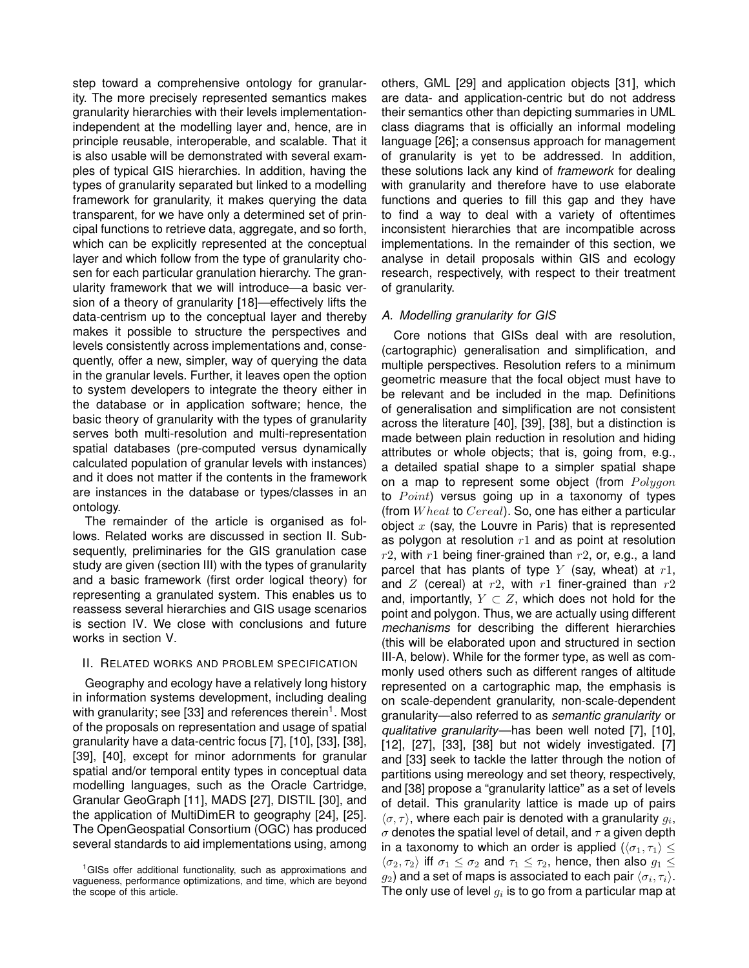step toward a comprehensive ontology for granularity. The more precisely represented semantics makes granularity hierarchies with their levels implementationindependent at the modelling layer and, hence, are in principle reusable, interoperable, and scalable. That it is also usable will be demonstrated with several examples of typical GIS hierarchies. In addition, having the types of granularity separated but linked to a modelling framework for granularity, it makes querying the data transparent, for we have only a determined set of principal functions to retrieve data, aggregate, and so forth, which can be explicitly represented at the conceptual layer and which follow from the type of granularity chosen for each particular granulation hierarchy. The granularity framework that we will introduce—a basic version of a theory of granularity [18]—effectively lifts the data-centrism up to the conceptual layer and thereby makes it possible to structure the perspectives and levels consistently across implementations and, consequently, offer a new, simpler, way of querying the data in the granular levels. Further, it leaves open the option to system developers to integrate the theory either in the database or in application software; hence, the basic theory of granularity with the types of granularity serves both multi-resolution and multi-representation spatial databases (pre-computed versus dynamically calculated population of granular levels with instances) and it does not matter if the contents in the framework are instances in the database or types/classes in an ontology.

The remainder of the article is organised as follows. Related works are discussed in section II. Subsequently, preliminaries for the GIS granulation case study are given (section III) with the types of granularity and a basic framework (first order logical theory) for representing a granulated system. This enables us to reassess several hierarchies and GIS usage scenarios is section IV. We close with conclusions and future works in section V.

## II. RELATED WORKS AND PROBLEM SPECIFICATION

Geography and ecology have a relatively long history in information systems development, including dealing with granularity; see [33] and references therein<sup>1</sup>. Most of the proposals on representation and usage of spatial granularity have a data-centric focus [7], [10], [33], [38], [39], [40], except for minor adornments for granular spatial and/or temporal entity types in conceptual data modelling languages, such as the Oracle Cartridge, Granular GeoGraph [11], MADS [27], DISTIL [30], and the application of MultiDimER to geography [24], [25]. The OpenGeospatial Consortium (OGC) has produced several standards to aid implementations using, among

others, GML [29] and application objects [31], which are data- and application-centric but do not address their semantics other than depicting summaries in UML class diagrams that is officially an informal modeling language [26]; a consensus approach for management of granularity is yet to be addressed. In addition, these solutions lack any kind of *framework* for dealing with granularity and therefore have to use elaborate functions and queries to fill this gap and they have to find a way to deal with a variety of oftentimes inconsistent hierarchies that are incompatible across implementations. In the remainder of this section, we analyse in detail proposals within GIS and ecology research, respectively, with respect to their treatment of granularity.

## *A. Modelling granularity for GIS*

Core notions that GISs deal with are resolution, (cartographic) generalisation and simplification, and multiple perspectives. Resolution refers to a minimum geometric measure that the focal object must have to be relevant and be included in the map. Definitions of generalisation and simplification are not consistent across the literature [40], [39], [38], but a distinction is made between plain reduction in resolution and hiding attributes or whole objects; that is, going from, e.g., a detailed spatial shape to a simpler spatial shape on a map to represent some object (from  $Polygon$ to  $Point$ ) versus going up in a taxonomy of types (from  $Wheat$  to  $Cereal$ ). So, one has either a particular object  $x$  (say, the Louvre in Paris) that is represented as polygon at resolution  $r1$  and as point at resolution  $r2$ , with  $r1$  being finer-grained than  $r2$ , or, e.g., a land parcel that has plants of type  $Y$  (say, wheat) at  $r1$ , and  $Z$  (cereal) at  $r2$ , with  $r1$  finer-grained than  $r2$ and, importantly,  $Y \subset Z$ , which does not hold for the point and polygon. Thus, we are actually using different *mechanisms* for describing the different hierarchies (this will be elaborated upon and structured in section III-A, below). While for the former type, as well as commonly used others such as different ranges of altitude represented on a cartographic map, the emphasis is on scale-dependent granularity, non-scale-dependent granularity—also referred to as *semantic granularity* or *qualitative granularity*—has been well noted [7], [10], [12], [27], [33], [38] but not widely investigated. [7] and [33] seek to tackle the latter through the notion of partitions using mereology and set theory, respectively, and [38] propose a "granularity lattice" as a set of levels of detail. This granularity lattice is made up of pairs  $\langle \sigma, \tau \rangle$ , where each pair is denoted with a granularity  $g_i$ ,  $\sigma$  denotes the spatial level of detail, and  $\tau$  a given depth in a taxonomy to which an order is applied  $(\langle \sigma_1, \tau_1 \rangle \leq$  $\langle \sigma_2, \tau_2 \rangle$  iff  $\sigma_1 \leq \sigma_2$  and  $\tau_1 \leq \tau_2$ , hence, then also  $g_1 \leq$  $g_2$ ) and a set of maps is associated to each pair  $\langle\sigma_i,\tau_i\rangle.$ The only use of level  $g_i$  is to go from a particular map at

<sup>1</sup>GISs offer additional functionality, such as approximations and vagueness, performance optimizations, and time, which are beyond the scope of this article.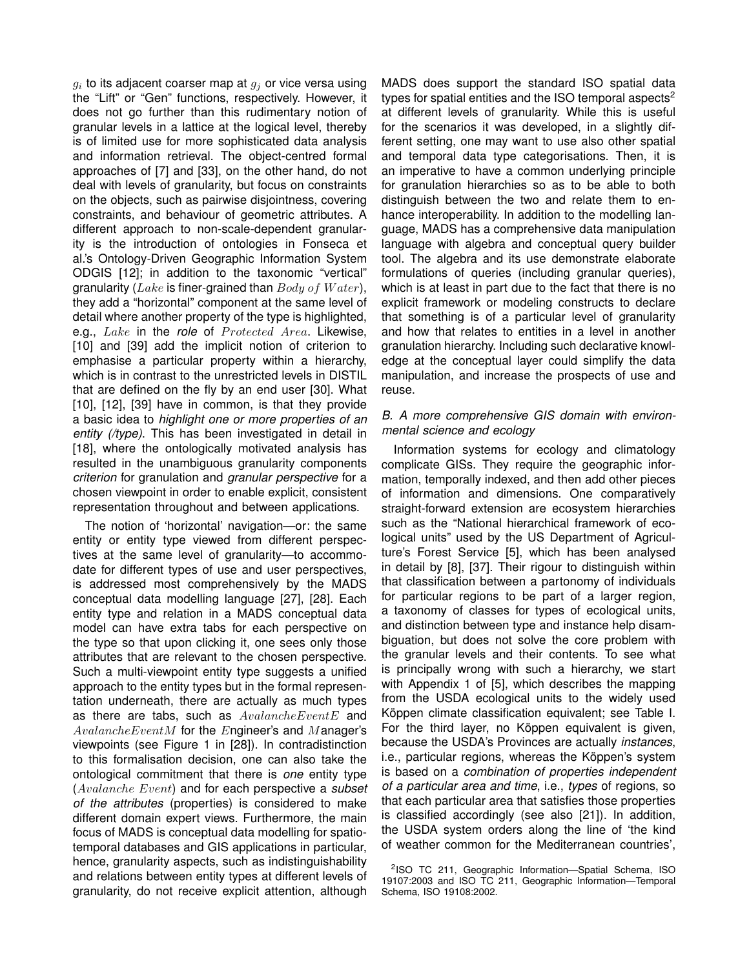$g_i$  to its adjacent coarser map at  $g_j$  or vice versa using the "Lift" or "Gen" functions, respectively. However, it does not go further than this rudimentary notion of granular levels in a lattice at the logical level, thereby is of limited use for more sophisticated data analysis and information retrieval. The object-centred formal approaches of [7] and [33], on the other hand, do not deal with levels of granularity, but focus on constraints on the objects, such as pairwise disjointness, covering constraints, and behaviour of geometric attributes. A different approach to non-scale-dependent granularity is the introduction of ontologies in Fonseca et al.'s Ontology-Driven Geographic Information System ODGIS [12]; in addition to the taxonomic "vertical" granularity ( $\emph{Lake}$  is finer-grained than  $\emph{Body of Water}$ ), they add a "horizontal" component at the same level of detail where another property of the type is highlighted, e.g., Lake in the *role* of *Protected Area*. Likewise, [10] and [39] add the implicit notion of criterion to emphasise a particular property within a hierarchy, which is in contrast to the unrestricted levels in DISTIL that are defined on the fly by an end user [30]. What [10], [12], [39] have in common, is that they provide a basic idea to *highlight one or more properties of an entity (/type)*. This has been investigated in detail in [18], where the ontologically motivated analysis has resulted in the unambiguous granularity components *criterion* for granulation and *granular perspective* for a chosen viewpoint in order to enable explicit, consistent representation throughout and between applications.

The notion of 'horizontal' navigation—or: the same entity or entity type viewed from different perspectives at the same level of granularity—to accommodate for different types of use and user perspectives, is addressed most comprehensively by the MADS conceptual data modelling language [27], [28]. Each entity type and relation in a MADS conceptual data model can have extra tabs for each perspective on the type so that upon clicking it, one sees only those attributes that are relevant to the chosen perspective. Such a multi-viewpoint entity type suggests a unified approach to the entity types but in the formal representation underneath, there are actually as much types as there are tabs, such as  $AvailableEventE$  and  $AvalancheEventM$  for the Engineer's and Manager's viewpoints (see Figure 1 in [28]). In contradistinction to this formalisation decision, one can also take the ontological commitment that there is *one* entity type (Avalanche Event) and for each perspective a *subset of the attributes* (properties) is considered to make different domain expert views. Furthermore, the main focus of MADS is conceptual data modelling for spatiotemporal databases and GIS applications in particular, hence, granularity aspects, such as indistinguishability and relations between entity types at different levels of granularity, do not receive explicit attention, although

MADS does support the standard ISO spatial data types for spatial entities and the ISO temporal aspects<sup>2</sup> at different levels of granularity. While this is useful for the scenarios it was developed, in a slightly different setting, one may want to use also other spatial and temporal data type categorisations. Then, it is an imperative to have a common underlying principle for granulation hierarchies so as to be able to both distinguish between the two and relate them to enhance interoperability. In addition to the modelling language, MADS has a comprehensive data manipulation language with algebra and conceptual query builder tool. The algebra and its use demonstrate elaborate formulations of queries (including granular queries), which is at least in part due to the fact that there is no explicit framework or modeling constructs to declare that something is of a particular level of granularity and how that relates to entities in a level in another granulation hierarchy. Including such declarative knowledge at the conceptual layer could simplify the data manipulation, and increase the prospects of use and reuse.

## *B. A more comprehensive GIS domain with environmental science and ecology*

Information systems for ecology and climatology complicate GISs. They require the geographic information, temporally indexed, and then add other pieces of information and dimensions. One comparatively straight-forward extension are ecosystem hierarchies such as the "National hierarchical framework of ecological units" used by the US Department of Agriculture's Forest Service [5], which has been analysed in detail by [8], [37]. Their rigour to distinguish within that classification between a partonomy of individuals for particular regions to be part of a larger region, a taxonomy of classes for types of ecological units, and distinction between type and instance help disambiguation, but does not solve the core problem with the granular levels and their contents. To see what is principally wrong with such a hierarchy, we start with Appendix 1 of [5], which describes the mapping from the USDA ecological units to the widely used Köppen climate classification equivalent; see Table I. For the third layer, no Köppen equivalent is given, because the USDA's Provinces are actually *instances*, i.e., particular regions, whereas the Köppen's system is based on a *combination of properties independent of a particular area and time*, i.e., *types* of regions, so that each particular area that satisfies those properties is classified accordingly (see also [21]). In addition, the USDA system orders along the line of 'the kind of weather common for the Mediterranean countries',

<sup>2</sup> ISO TC 211, Geographic Information—Spatial Schema, ISO 19107:2003 and ISO TC 211, Geographic Information—Temporal Schema, ISO 19108:2002.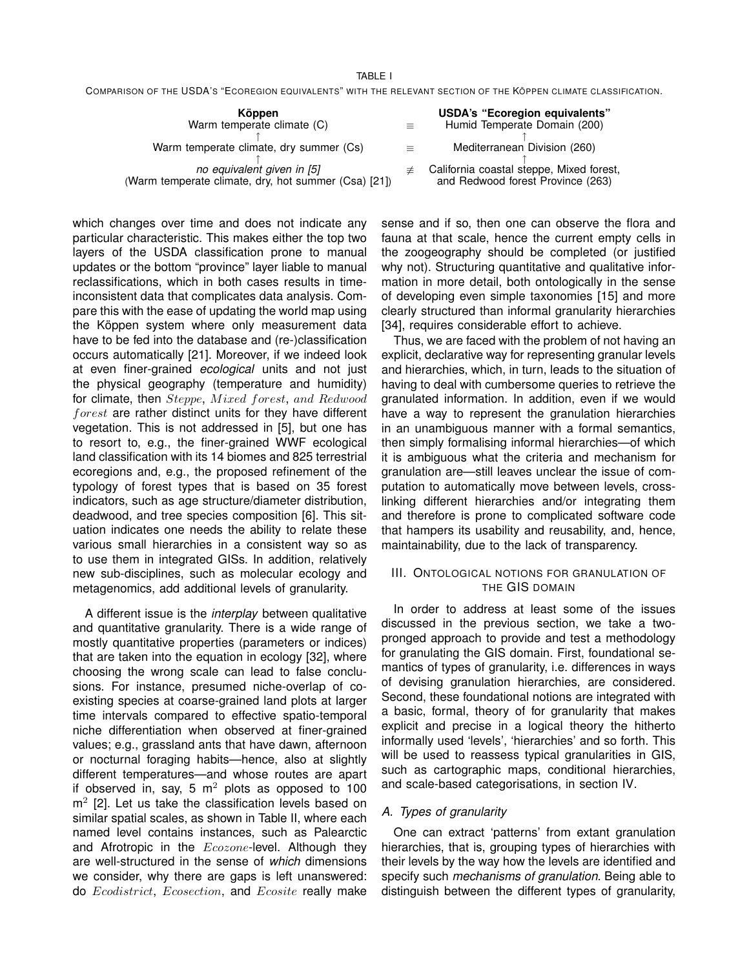#### TABLE I

COMPARISON OF THE USDA'S "ECOREGION EQUIVALENTS" WITH THE RELEVANT SECTION OF THE KÖPPEN CLIMATE CLASSIFICATION.

| Köppen<br>Warm temperate climate (C)                                               |     | <b>USDA's "Ecoregion equivalents"</b><br>Humid Temperate Domain (200)         |  |  |
|------------------------------------------------------------------------------------|-----|-------------------------------------------------------------------------------|--|--|
| Warm temperate climate, dry summer (Cs)                                            | $=$ | Mediterranean Division (260)                                                  |  |  |
| no equivalent given in [5]<br>(Warm temperate climate, dry, hot summer (Csa) [21]) |     | California coastal steppe, Mixed forest,<br>and Redwood forest Province (263) |  |  |

which changes over time and does not indicate any particular characteristic. This makes either the top two layers of the USDA classification prone to manual updates or the bottom "province" layer liable to manual reclassifications, which in both cases results in timeinconsistent data that complicates data analysis. Compare this with the ease of updating the world map using the Köppen system where only measurement data have to be fed into the database and (re-)classification occurs automatically [21]. Moreover, if we indeed look at even finer-grained *ecological* units and not just the physical geography (temperature and humidity) for climate, then Steppe, Mixed forest, and Redwood forest are rather distinct units for they have different vegetation. This is not addressed in [5], but one has to resort to, e.g., the finer-grained WWF ecological land classification with its 14 biomes and 825 terrestrial ecoregions and, e.g., the proposed refinement of the typology of forest types that is based on 35 forest indicators, such as age structure/diameter distribution, deadwood, and tree species composition [6]. This situation indicates one needs the ability to relate these various small hierarchies in a consistent way so as to use them in integrated GISs. In addition, relatively new sub-disciplines, such as molecular ecology and metagenomics, add additional levels of granularity.

A different issue is the *interplay* between qualitative and quantitative granularity. There is a wide range of mostly quantitative properties (parameters or indices) that are taken into the equation in ecology [32], where choosing the wrong scale can lead to false conclusions. For instance, presumed niche-overlap of coexisting species at coarse-grained land plots at larger time intervals compared to effective spatio-temporal niche differentiation when observed at finer-grained values; e.g., grassland ants that have dawn, afternoon or nocturnal foraging habits—hence, also at slightly different temperatures—and whose routes are apart if observed in, say, 5  $m^2$  plots as opposed to 100  $m<sup>2</sup>$  [2]. Let us take the classification levels based on similar spatial scales, as shown in Table II, where each named level contains instances, such as Palearctic and Afrotropic in the **Ecozone-level**. Although they are well-structured in the sense of *which* dimensions we consider, why there are gaps is left unanswered: do Ecodistrict, Ecosection, and Ecosite really make

sense and if so, then one can observe the flora and fauna at that scale, hence the current empty cells in the zoogeography should be completed (or justified why not). Structuring quantitative and qualitative information in more detail, both ontologically in the sense of developing even simple taxonomies [15] and more clearly structured than informal granularity hierarchies [34], requires considerable effort to achieve.

Thus, we are faced with the problem of not having an explicit, declarative way for representing granular levels and hierarchies, which, in turn, leads to the situation of having to deal with cumbersome queries to retrieve the granulated information. In addition, even if we would have a way to represent the granulation hierarchies in an unambiguous manner with a formal semantics, then simply formalising informal hierarchies—of which it is ambiguous what the criteria and mechanism for granulation are—still leaves unclear the issue of computation to automatically move between levels, crosslinking different hierarchies and/or integrating them and therefore is prone to complicated software code that hampers its usability and reusability, and, hence, maintainability, due to the lack of transparency.

## III. ONTOLOGICAL NOTIONS FOR GRANULATION OF THE GIS DOMAIN

In order to address at least some of the issues discussed in the previous section, we take a twopronged approach to provide and test a methodology for granulating the GIS domain. First, foundational semantics of types of granularity, i.e. differences in ways of devising granulation hierarchies, are considered. Second, these foundational notions are integrated with a basic, formal, theory of for granularity that makes explicit and precise in a logical theory the hitherto informally used 'levels', 'hierarchies' and so forth. This will be used to reassess typical granularities in GIS, such as cartographic maps, conditional hierarchies, and scale-based categorisations, in section IV.

## *A. Types of granularity*

One can extract 'patterns' from extant granulation hierarchies, that is, grouping types of hierarchies with their levels by the way how the levels are identified and specify such *mechanisms of granulation*. Being able to distinguish between the different types of granularity,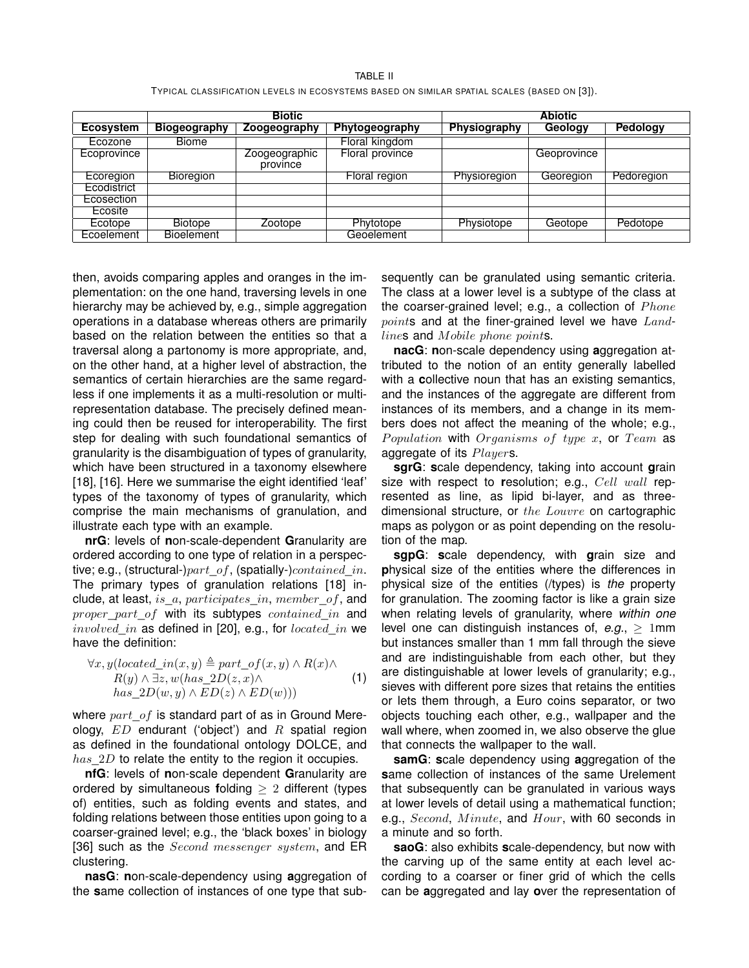TABLE II TYPICAL CLASSIFICATION LEVELS IN ECOSYSTEMS BASED ON SIMILAR SPATIAL SCALES (BASED ON [3]).

|                  | <b>Biotic</b>       |                           |                        | <b>Abiotic</b> |             |                 |
|------------------|---------------------|---------------------------|------------------------|----------------|-------------|-----------------|
| <b>Ecosystem</b> | <b>Biogeography</b> | Zoogeography              | Phytogeography         | Physiography   | Geology     | <b>Pedology</b> |
| Ecozone          | <b>Biome</b>        |                           | Floral kingdom         |                |             |                 |
| Ecoprovince      |                     | Zoogeographic<br>province | <b>Floral province</b> |                | Geoprovince |                 |
| Ecoregion        | <b>Bioregion</b>    |                           | Floral region          | Physioregion   | Georegion   | Pedoregion      |
| Ecodistrict      |                     |                           |                        |                |             |                 |
| Ecosection       |                     |                           |                        |                |             |                 |
| Ecosite          |                     |                           |                        |                |             |                 |
| Ecotope          | <b>Biotope</b>      | Zootope                   | Phytotope              | Physiotope     | Geotope     | Pedotope        |
| Ecoelement       | <b>Bioelement</b>   |                           | Geoelement             |                |             |                 |

then, avoids comparing apples and oranges in the implementation: on the one hand, traversing levels in one hierarchy may be achieved by, e.g., simple aggregation operations in a database whereas others are primarily based on the relation between the entities so that a traversal along a partonomy is more appropriate, and, on the other hand, at a higher level of abstraction, the semantics of certain hierarchies are the same regardless if one implements it as a multi-resolution or multirepresentation database. The precisely defined meaning could then be reused for interoperability. The first step for dealing with such foundational semantics of granularity is the disambiguation of types of granularity, which have been structured in a taxonomy elsewhere [18], [16]. Here we summarise the eight identified 'leaf' types of the taxonomy of types of granularity, which comprise the main mechanisms of granulation, and illustrate each type with an example.

**nrG**: levels of **n**on-scale-dependent **G**ranularity are ordered according to one type of relation in a perspective; e.g., (structural-) $part of$ , (spatially-)contained in. The primary types of granulation relations [18] include, at least, is\_a, participates\_in, member\_of, and proper\_part\_of with its subtypes contained\_in and involved in as defined in [20], e.g., for located in we have the definition:

$$
\forall x, y (located_in(x, y) \triangleq part_of(x, y) \land R(x) \land R(y) \land \exists z, w (has\_2D(z, x) \land \text{(1)}
$$
  
\n
$$
has\_2D(w, y) \land ED(z) \land ED(w)))
$$

where  $part of$  is standard part of as in Ground Mereology,  $ED$  endurant ('object') and  $R$  spatial region as defined in the foundational ontology DOLCE, and  $has\_2D$  to relate the entity to the region it occupies.

**nfG**: levels of **n**on-scale dependent **G**ranularity are ordered by simultaneous **f**olding ≥ 2 different (types of) entities, such as folding events and states, and folding relations between those entities upon going to a coarser-grained level; e.g., the 'black boxes' in biology [36] such as the  $Second$  messenger system, and  $ER$ clustering.

**nasG**: **n**on-scale-dependency using **a**ggregation of the **s**ame collection of instances of one type that subsequently can be granulated using semantic criteria. The class at a lower level is a subtype of the class at the coarser-grained level; e.g., a collection of  $Phone$ points and at the finer-grained level we have Landlines and Mobile phone points.

**nacG**: **n**on-scale dependency using **a**ggregation attributed to the notion of an entity generally labelled with a **c**ollective noun that has an existing semantics, and the instances of the aggregate are different from instances of its members, and a change in its members does not affect the meaning of the whole; e.g., Population with Organisms of type x, or Team as aggregate of its Players.

**sgrG**: **s**cale dependency, taking into account **g**rain size with respect to **r**esolution; e.g., Cell wall represented as line, as lipid bi-layer, and as threedimensional structure, or the Louvre on cartographic maps as polygon or as point depending on the resolution of the map.

**sgpG**: **s**cale dependency, with **g**rain size and **p**hysical size of the entities where the differences in physical size of the entities (/types) is *the* property for granulation. The zooming factor is like a grain size when relating levels of granularity, where *within one* level one can distinguish instances of,  $e.g., \geq 1$ mm but instances smaller than 1 mm fall through the sieve and are indistinguishable from each other, but they are distinguishable at lower levels of granularity; e.g., sieves with different pore sizes that retains the entities or lets them through, a Euro coins separator, or two objects touching each other, e.g., wallpaper and the wall where, when zoomed in, we also observe the glue that connects the wallpaper to the wall.

**samG**: **s**cale dependency using **a**ggregation of the **s**ame collection of instances of the same Urelement that subsequently can be granulated in various ways at lower levels of detail using a mathematical function; e.g., Second, Minute, and Hour, with 60 seconds in a minute and so forth.

**saoG**: also exhibits **s**cale-dependency, but now with the carving up of the same entity at each level according to a coarser or finer grid of which the cells can be **a**ggregated and lay **o**ver the representation of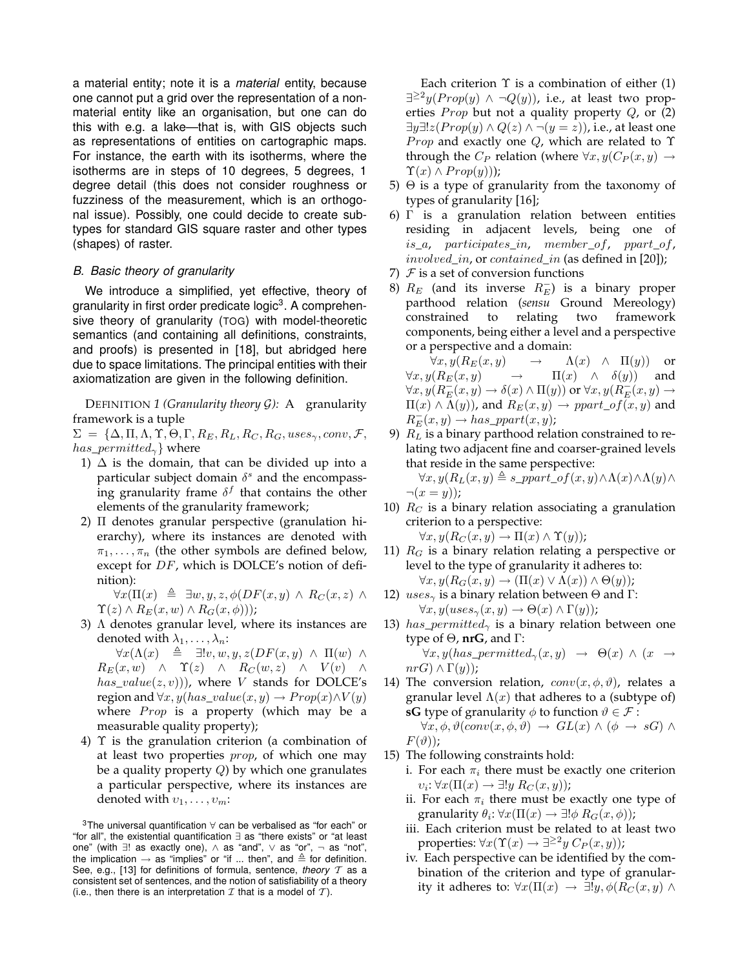a material entity; note it is a *material* entity, because one cannot put a grid over the representation of a nonmaterial entity like an organisation, but one can do this with e.g. a lake—that is, with GIS objects such as representations of entities on cartographic maps. For instance, the earth with its isotherms, where the isotherms are in steps of 10 degrees, 5 degrees, 1 degree detail (this does not consider roughness or fuzziness of the measurement, which is an orthogonal issue). Possibly, one could decide to create subtypes for standard GIS square raster and other types (shapes) of raster.

#### *B. Basic theory of granularity*

We introduce a simplified, yet effective, theory of granularity in first order predicate logic<sup>3</sup>. A comprehensive theory of granularity (TOG) with model-theoretic semantics (and containing all definitions, constraints, and proofs) is presented in [18], but abridged here due to space limitations. The principal entities with their axiomatization are given in the following definition.

DEFINITION *1 (Granularity theory* G*):* A granularity framework is a tuple

 $\Sigma = {\{\Delta, \Pi, \Lambda, \Upsilon, \Theta, \Gamma, R_E, R_L, R_C, R_G, uses_{\gamma}, conv, \mathcal{F},\}$ has\_permitted<sub>γ</sub> where

- 1)  $\Delta$  is the domain, that can be divided up into a particular subject domain  $\delta^s$  and the encompassing granularity frame  $\delta^f$  that contains the other elements of the granularity framework;
- 2) Π denotes granular perspective (granulation hierarchy), where its instances are denoted with  $\pi_1, \ldots, \pi_n$  (the other symbols are defined below, except for DF, which is DOLCE's notion of definition):

 $\forall x (\Pi(x) \triangleq \exists w, y, z, \phi(DF(x, y) \land R_C(x, z) \land$  $\Upsilon(z) \wedge R_E(x, w) \wedge R_G(x, \phi))$ ;

3) Λ denotes granular level, where its instances are denoted with  $\lambda_1, \ldots, \lambda_n$ :

 $\forall x (\Lambda(x) \triangleq \exists! v, w, y, z(DF(x, y) \land \Pi(w) \land \Pi(w))$  $R_E(x, w) \land \Upsilon(z) \land R_C(w, z) \land V(v) \land$  $has\_value(z, v))$ , where V stands for DOLCE's region and  $\forall x, y (has\_value(x, y) \rightarrow Prop(x) \land V(y))$ where  $Prop$  is a property (which may be a measurable quality property);

4) Υ is the granulation criterion (a combination of at least two properties *prop*, of which one may be a quality property  $Q$ ) by which one granulates a particular perspective, where its instances are denoted with  $v_1, \ldots, v_m$ :

<sup>3</sup>The universal quantification ∀ can be verbalised as "for each" or "for all", the existential quantification ∃ as "there exists" or "at least one" (with ∃! as exactly one), ∧ as "and", ∨ as "or", ¬ as "not", the implication  $\rightarrow$  as "implies" or "if ... then", and  $\triangleq$  for definition. See, e.g., [13] for definitions of formula, sentence, *theory* T as a consistent set of sentences, and the notion of satisfiability of a theory (i.e., then there is an interpretation  $\mathcal I$  that is a model of  $\mathcal T$ ).

Each criterion  $\Upsilon$  is a combination of either (1)  $\exists^{\geq 2} y (Prop(y) \,\wedge\, \neg Q(y)),$  i.e., at least two properties  $Prop$  but not a quality property  $Q$ , or  $(2)$ ∃y∃! $z(Prop(y) \land Q(z) \land \neg (y = z))$ , i.e., at least one *Prop* and exactly one  $Q$ , which are related to  $\Upsilon$ through the  $C_P$  relation (where  $\forall x, y (C_P(x, y) \rightarrow$  $\Upsilon(x) \wedge Prop(y))$ ;

- 5)  $\Theta$  is a type of granularity from the taxonomy of types of granularity [16];
- 6) Γ is a granulation relation between entities residing in adjacent levels, being one of is\_a, participates\_in, member\_of, ppart\_of,  $involved\_in$ , or  $contained\_in$  (as defined in [20]);
- 7)  $F$  is a set of conversion functions
- 8)  $R_E$  (and its inverse  $R_E^-$ ) is a binary proper parthood relation (*sensu* Ground Mereology) constrained to relating two framework components, being either a level and a perspective or a perspective and a domain:

 $\forall x, y(R_E(x, y) \rightarrow \Lambda(x) \land \Pi(y))$  or  $\forall x, y (R_E(x, y) \rightarrow \Pi(x) \land \delta(y))$  and  $\forall x,y (R_E^-(x,y) \rightarrow \delta(x) \land \Pi(y))$  or  $\forall x,y (R_E^-(x,y) \rightarrow$  $\Pi(x) \wedge \Lambda(y)$ , and  $R_E(x, y) \rightarrow ppart\_of(x, y)$  and  $R_E^-(x, y) \rightarrow has\_ppart(x, y);$ 

9)  $R_L$  is a binary parthood relation constrained to relating two adjacent fine and coarser-grained levels that reside in the same perspective:

 $\forall x, y(R_L(x, y) \triangleq s\_ppart\_of(x, y) \land \Lambda(x) \land \Lambda(y) \land$  $\neg(x = y)$ ;

10)  $R_C$  is a binary relation associating a granulation criterion to a perspective:

 $\forall x, y(R_C(x, y) \rightarrow \Pi(x) \land \Upsilon(y));$ 

- 11)  $R_G$  is a binary relation relating a perspective or level to the type of granularity it adheres to:  $\forall x, y(R_G(x, y) \rightarrow (\Pi(x) \vee \Lambda(x)) \wedge \Theta(y));$
- 12)  $uses_{\gamma}$  is a binary relation between  $\Theta$  and  $\Gamma$ :  $\forall x, y (uses_{\gamma}(x, y) \rightarrow \Theta(x) \wedge \Gamma(y));$
- 13) has\_permitted<sub> $\gamma$ </sub> is a binary relation between one type of Θ, **nrG**, and Γ:  $\forall x, y (has\_permitted_\gamma(x, y) \rightarrow \Theta(x) \land (x \rightarrow$
- $nrG \wedge \Gamma(y)$ ; 14) The conversion relation,  $conv(x, \phi, \vartheta)$ , relates a granular level  $\Lambda(x)$  that adheres to a (subtype of) **sG** type of granularity  $\phi$  to function  $\vartheta \in \mathcal{F}$  :  $\forall x, \phi, \vartheta(conv(x, \phi, \vartheta) \rightarrow GL(x) \land (\phi \rightarrow sG) \land$  $F(\vartheta)$ ;
- 15) The following constraints hold:
	- i. For each  $\pi_i$  there must be exactly one criterion  $v_i: \forall x (\Pi(x) \rightarrow \exists! y R_C(x,y));$
	- ii. For each  $\pi_i$  there must be exactly one type of granularity  $\theta_i$ :  $\forall x (\Pi(x) \rightarrow \exists ! \phi \ R_G(x, \phi))$ ;
	- iii. Each criterion must be related to at least two properties:  $\forall x (\Upsilon(x) \rightarrow \exists^{\geq 2} y C_P(x, y));$
	- iv. Each perspective can be identified by the combination of the criterion and type of granularity it adheres to:  $\forall x (\Pi(x) \rightarrow \exists ! y, \phi(R_C(x, y) \land$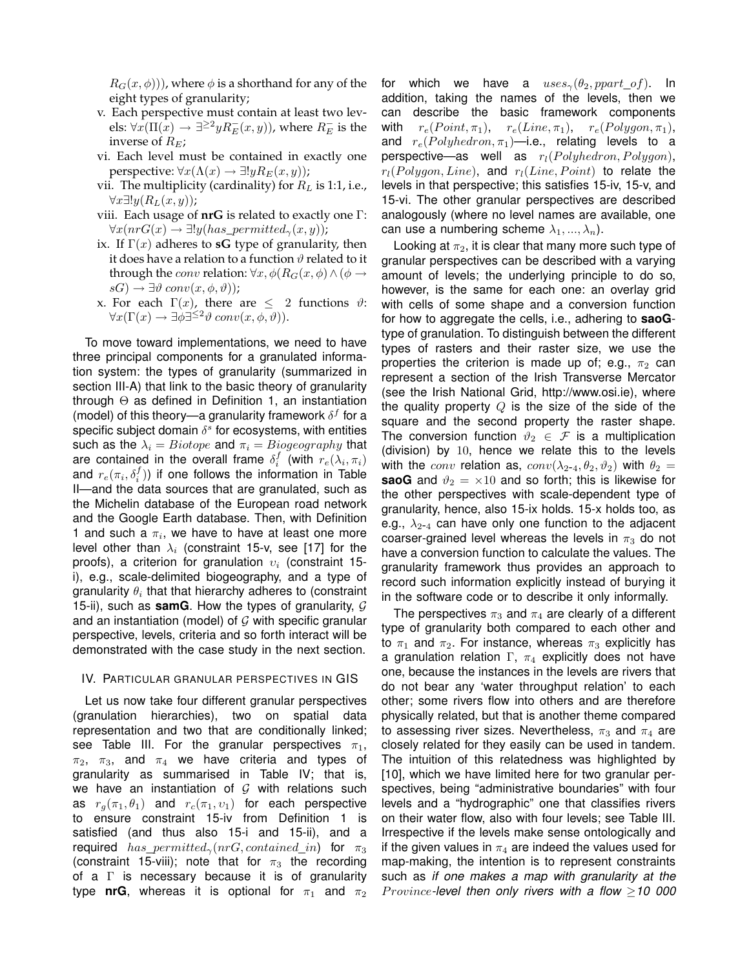$R_G(x, \phi)$ ), where  $\phi$  is a shorthand for any of the eight types of granularity;

- v. Each perspective must contain at least two levels:  $\forall x(\Pi(x) \rightarrow \exists^{\geq 2} y R_E^-(x,y))$ , where  $R_E^-$  is the inverse of  $R_E$ ;
- vi. Each level must be contained in exactly one perspective:  $\forall x (\Lambda(x) \rightarrow \exists! y R_E(x,y))$ ;
- vii. The multiplicity (cardinality) for  $R_L$  is 1:1, i.e.,  $\forall x \exists ! y (R_L(x, y))$ ;
- viii. Each usage of **nrG** is related to exactly one Γ:  $\forall x (nrG(x) \rightarrow \exists! y (has\_permitted_{\gamma}(x, y));$
- ix. If  $\Gamma(x)$  adheres to **sG** type of granularity, then it does have a relation to a function  $\vartheta$  related to it through the *conv* relation:  $\forall x, \phi(R_G(x, \phi) \land (\phi \rightarrow$  $sG$ )  $\rightarrow \exists \vartheta conv(x, \phi, \vartheta))$ ;
- x. For each  $\Gamma(x)$ , there are  $\leq 2$  functions  $\vartheta$ :  $\forall x (\Gamma(x) \to \exists \phi \exists^{\leq 2} \vartheta conv(x, \phi, \vartheta)).$

To move toward implementations, we need to have three principal components for a granulated information system: the types of granularity (summarized in section III-A) that link to the basic theory of granularity through  $\Theta$  as defined in Definition 1, an instantiation (model) of this theory—a granularity framework  $\delta^f$  for a specific subject domain  $\delta^s$  for ecosystems, with entities such as the  $\lambda_i = Biotope$  and  $\pi_i = Biogeography$  that are contained in the overall frame  $\delta_i^f$  (with  $r_e(\lambda_i, \pi_i)$ and  $r_e(\pi_i, \delta_i^f))$  if one follows the information in Table II—and the data sources that are granulated, such as the Michelin database of the European road network and the Google Earth database. Then, with Definition 1 and such a  $\pi_i$ , we have to have at least one more level other than  $\lambda_i$  (constraint 15-v, see [17] for the proofs), a criterion for granulation  $v_i$  (constraint 15i), e.g., scale-delimited biogeography, and a type of granularity  $\theta_i$  that that hierarchy adheres to (constraint 15-ii), such as **samG**. How the types of granularity,  $G$ and an instantiation (model) of  $G$  with specific granular perspective, levels, criteria and so forth interact will be demonstrated with the case study in the next section.

#### IV. PARTICULAR GRANULAR PERSPECTIVES IN GIS

Let us now take four different granular perspectives (granulation hierarchies), two on spatial data representation and two that are conditionally linked; see Table III. For the granular perspectives  $\pi_1$ ,  $\pi_2$ ,  $\pi_3$ , and  $\pi_4$  we have criteria and types of granularity as summarised in Table IV; that is, we have an instantiation of  $G$  with relations such as  $r_q(\pi_1, \theta_1)$  and  $r_c(\pi_1, \nu_1)$  for each perspective to ensure constraint 15-iv from Definition 1 is satisfied (and thus also 15-i and 15-ii), and a required has permitted<sub>γ</sub>(nrG, contained\_in) for  $\pi_3$ (constraint 15-viii); note that for  $\pi_3$  the recording of a Γ is necessary because it is of granularity type **nrG**, whereas it is optional for  $\pi_1$  and  $\pi_2$ 

for which we have a  $uses_{\gamma}(\theta_2,ppart\ of)$ . In addition, taking the names of the levels, then we can describe the basic framework components with  $r_e(Point, \pi_1)$ ,  $r_e(Line, \pi_1)$ ,  $r_e(Polygon, \pi_1)$ , and  $r_e(Polyhedron, \pi_1)$ —i.e., relating levels to a perspective—as well as  $r_l(Polyhedron, Polygon)$ ,  $r_l(Polyqon, Line)$ , and  $r_l(Line, Point)$  to relate the levels in that perspective; this satisfies 15-iv, 15-v, and 15-vi. The other granular perspectives are described analogously (where no level names are available, one can use a numbering scheme  $\lambda_1, ..., \lambda_n$ ).

Looking at  $\pi_2$ , it is clear that many more such type of granular perspectives can be described with a varying amount of levels; the underlying principle to do so, however, is the same for each one: an overlay grid with cells of some shape and a conversion function for how to aggregate the cells, i.e., adhering to **saoG**type of granulation. To distinguish between the different types of rasters and their raster size, we use the properties the criterion is made up of; e.g.,  $\pi_2$  can represent a section of the Irish Transverse Mercator (see the Irish National Grid, http://www.osi.ie), where the quality property  $Q$  is the size of the side of the square and the second property the raster shape. The conversion function  $\vartheta_2 \in \mathcal{F}$  is a multiplication (division) by 10, hence we relate this to the levels with the conv relation as,  $conv(\lambda_{2-4}, \theta_2, \vartheta_2)$  with  $\theta_2 =$ **saoG** and  $\vartheta_2 = \times 10$  and so forth; this is likewise for the other perspectives with scale-dependent type of granularity, hence, also 15-ix holds. 15-x holds too, as e.g.,  $\lambda_{2-4}$  can have only one function to the adjacent coarser-grained level whereas the levels in  $\pi_3$  do not have a conversion function to calculate the values. The granularity framework thus provides an approach to record such information explicitly instead of burying it in the software code or to describe it only informally.

The perspectives  $\pi_3$  and  $\pi_4$  are clearly of a different type of granularity both compared to each other and to  $\pi_1$  and  $\pi_2$ . For instance, whereas  $\pi_3$  explicitly has a granulation relation  $\Gamma$ ,  $\pi_4$  explicitly does not have one, because the instances in the levels are rivers that do not bear any 'water throughput relation' to each other; some rivers flow into others and are therefore physically related, but that is another theme compared to assessing river sizes. Nevertheless,  $\pi_3$  and  $\pi_4$  are closely related for they easily can be used in tandem. The intuition of this relatedness was highlighted by [10], which we have limited here for two granular perspectives, being "administrative boundaries" with four levels and a "hydrographic" one that classifies rivers on their water flow, also with four levels; see Table III. Irrespective if the levels make sense ontologically and if the given values in  $\pi_4$  are indeed the values used for map-making, the intention is to represent constraints such as *if one makes a map with granularity at the Province-level then only rivers with a flow*  $\geq$  10 000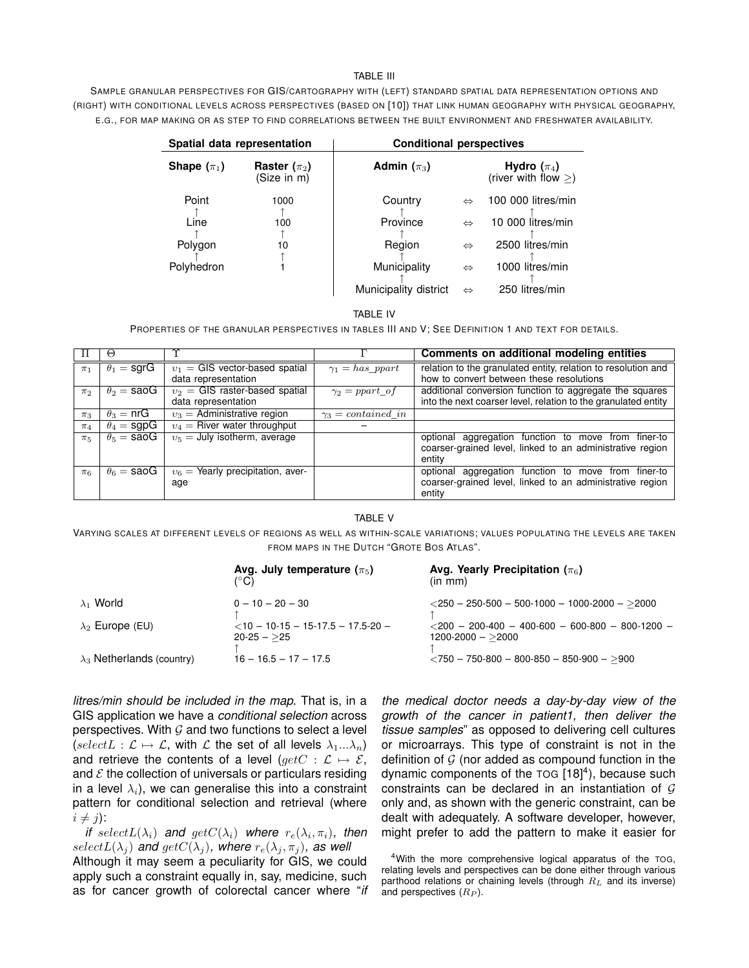#### TABLE III

SAMPLE GRANULAR PERSPECTIVES FOR GIS/CARTOGRAPHY WITH (LEFT) STANDARD SPATIAL DATA REPRESENTATION OPTIONS AND (RIGHT) WITH CONDITIONAL LEVELS ACROSS PERSPECTIVES (BASED ON [10]) THAT LINK HUMAN GEOGRAPHY WITH PHYSICAL GEOGRAPHY, E.G., FOR MAP MAKING OR AS STEP TO FIND CORRELATIONS BETWEEN THE BUILT ENVIRONMENT AND FRESHWATER AVAILABILITY.

| Spatial data representation |                                 | <b>Conditional perspectives</b> |                   |                                           |  |
|-----------------------------|---------------------------------|---------------------------------|-------------------|-------------------------------------------|--|
| Shape $(\pi_1)$             | Raster $(\pi_2)$<br>(Size in m) | Admin $(\pi_3)$                 |                   | Hydro $(\pi_4)$<br>(river with flow $>$ ) |  |
| Point                       | 1000                            | Country                         | $\Leftrightarrow$ | 100 000 litres/min                        |  |
| Line                        | 100                             | Province                        | $\Leftrightarrow$ | 10 000 litres/min                         |  |
| Polygon                     | 10                              | Region                          | $\Leftrightarrow$ | 2500 litres/min                           |  |
| Polyhedron                  |                                 | Municipality                    | $\Leftrightarrow$ | 1000 litres/min                           |  |
|                             |                                 | Municipality district           | $\Leftrightarrow$ | 250 litres/min                            |  |

#### TABLE IV

PROPERTIES OF THE GRANULAR PERSPECTIVES IN TABLES III AND V; SEE DEFINITION 1 AND TEXT FOR DETAILS.

|         | ↔                  |                                     |                           | Comments on additional modeling entities                       |
|---------|--------------------|-------------------------------------|---------------------------|----------------------------------------------------------------|
| $\pi_1$ | $\theta_1 =$ sgrG  | $v_1 = GIS$ vector-based spatial    | $\gamma_1 = has\;part$    | relation to the granulated entity, relation to resolution and  |
|         |                    | data representation                 |                           | how to convert between these resolutions                       |
| $\pi_2$ | $\theta_2 =$ saoG  | $v_2$ = GIS raster-based spatial    | $\gamma_2 = ppart$ of     | additional conversion function to aggregate the squares        |
|         |                    | data representation                 |                           | into the next coarser level, relation to the granulated entity |
| $\pi_3$ | $\theta_3 = n r G$ | $v_3$ = Administrative region       | $\gamma_3 = contained$ in |                                                                |
| $\pi_4$ | $\theta_4 =$ sgpG  | $v_4$ = River water throughput      |                           |                                                                |
| $\pi_5$ | $\theta_5 =$ saoG  | $v_5 =$ July isotherm, average      |                           | optional aggregation function to move from finer-to            |
|         |                    |                                     |                           | coarser-grained level, linked to an administrative region      |
|         |                    |                                     |                           | entity                                                         |
| $\pi_6$ | $\theta_6 =$ saoG  | $v_6$ = Yearly precipitation, aver- |                           | optional aggregation function to move from finer-to            |
|         |                    | age                                 |                           | coarser-grained level, linked to an administrative region      |
|         |                    |                                     |                           | entity                                                         |

TABLE V

VARYING SCALES AT DIFFERENT LEVELS OF REGIONS AS WELL AS WITHIN-SCALE VARIATIONS; VALUES POPULATING THE LEVELS ARE TAKEN FROM MAPS IN THE DUTCH "GROTE BOS ATLAS".

|                                   | Avg. July temperature $(\pi_5)$<br>ິC)                 | Avg. Yearly Precipitation ( $\pi_6$ )<br>(in m <sub>m</sub> )           |
|-----------------------------------|--------------------------------------------------------|-------------------------------------------------------------------------|
| $\lambda_1$ World                 | $0 - 10 - 20 - 30$                                     | $\langle 250 - 250 - 500 - 500 - 1000 - 1000 - 2000 - 2000 \rangle$     |
| $\lambda_2$ Europe (EU)           | $<$ 10 - 10-15 - 15-17.5 - 17.5-20 -<br>$20 - 25 - 25$ | $<$ 200 - 200-400 - 400-600 - 600-800 - 800-1200 -<br>1200-2000 - >2000 |
| $\lambda_3$ Netherlands (country) | $16 - 16.5 - 17 - 17.5$                                | $\langle 750 - 750 - 800 - 800 - 850 - 850 - 900 - 900 \rangle$         |

*litres/min should be included in the map*. That is, in a GIS application we have a *conditional selection* across perspectives. With  $G$  and two functions to select a level (selectL :  $\mathcal{L} \mapsto \mathcal{L}$ , with  $\mathcal{L}$  the set of all levels  $\lambda_1...\lambda_n$ ) and retrieve the contents of a level  $(\text{getC} : \mathcal{L} \mapsto \mathcal{E},$ and  $\mathcal E$  the collection of universals or particulars residing in a level  $\lambda_i$ ), we can generalise this into a constraint pattern for conditional selection and retrieval (where  $i \neq j$ :

*if* select $L(\lambda_i)$  and  $getC(\lambda_i)$  where  $r_e(\lambda_i, \pi_i)$ , then  $selectL(\lambda_i)$  and  $getC(\lambda_i)$ , where  $r_e(\lambda_i, \pi_i)$ , as well Although it may seem a peculiarity for GIS, we could apply such a constraint equally in, say, medicine, such as for cancer growth of colorectal cancer where "*if*

*the medical doctor needs a day-by-day view of the growth of the cancer in patient1, then deliver the tissue samples*" as opposed to delivering cell cultures or microarrays. This type of constraint is not in the definition of  $G$  (nor added as compound function in the dynamic components of the  $TOG$   $[18]<sup>4</sup>$ ), because such constraints can be declared in an instantiation of  $G$ only and, as shown with the generic constraint, can be dealt with adequately. A software developer, however, might prefer to add the pattern to make it easier for

<sup>4</sup>With the more comprehensive logical apparatus of the TOG, relating levels and perspectives can be done either through various parthood relations or chaining levels (through  $R_L$  and its inverse) and perspectives  $(R_P)$ .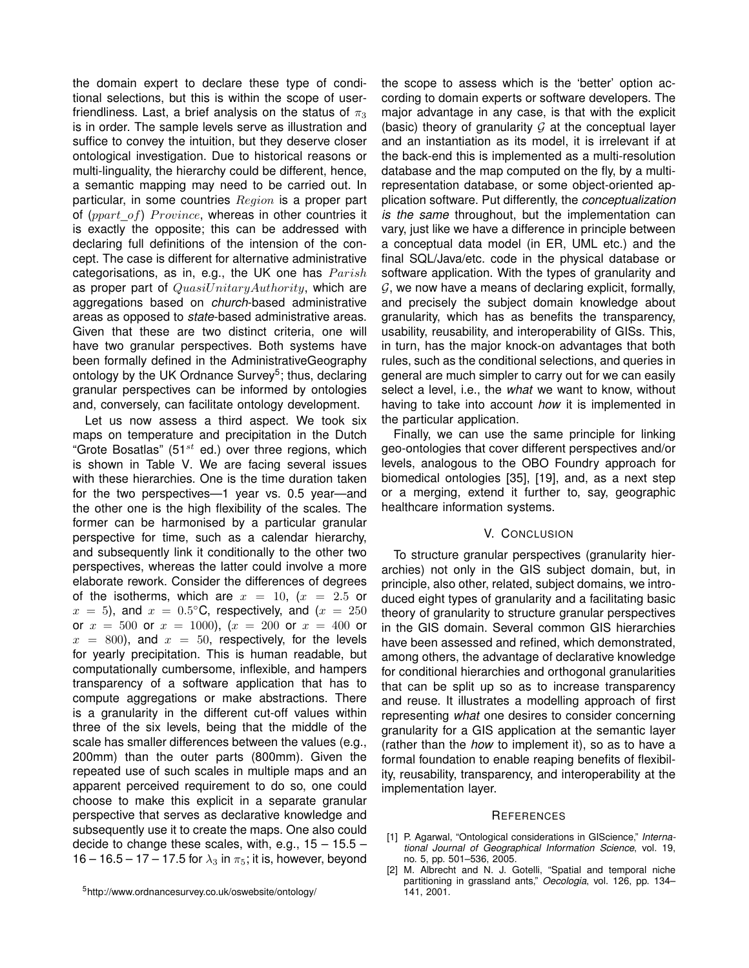the domain expert to declare these type of conditional selections, but this is within the scope of userfriendliness. Last, a brief analysis on the status of  $\pi_3$ is in order. The sample levels serve as illustration and suffice to convey the intuition, but they deserve closer ontological investigation. Due to historical reasons or multi-linguality, the hierarchy could be different, hence, a semantic mapping may need to be carried out. In particular, in some countries  $Region$  is a proper part of  $(ppart_of)$  *Province*, whereas in other countries it is exactly the opposite; this can be addressed with declaring full definitions of the intension of the concept. The case is different for alternative administrative categorisations, as in, e.g., the UK one has  $Parish$ as proper part of  $QuasiUnitaryAuthority$ , which are aggregations based on *church*-based administrative areas as opposed to *state*-based administrative areas. Given that these are two distinct criteria, one will have two granular perspectives. Both systems have been formally defined in the AdministrativeGeography ontology by the UK Ordnance Survey<sup>5</sup>; thus, declaring granular perspectives can be informed by ontologies and, conversely, can facilitate ontology development.

Let us now assess a third aspect. We took six maps on temperature and precipitation in the Dutch "Grote Bosatlas" (51 $st$  ed.) over three regions, which is shown in Table V. We are facing several issues with these hierarchies. One is the time duration taken for the two perspectives—1 year vs. 0.5 year—and the other one is the high flexibility of the scales. The former can be harmonised by a particular granular perspective for time, such as a calendar hierarchy, and subsequently link it conditionally to the other two perspectives, whereas the latter could involve a more elaborate rework. Consider the differences of degrees of the isotherms, which are  $x = 10$ ,  $(x = 2.5$  or  $x = 5$ ), and  $x = 0.5^{\circ}$ C, respectively, and  $(x = 250)$ or  $x = 500$  or  $x = 1000$ ,  $(x = 200$  or  $x = 400$  or  $x = 800$ , and  $x = 50$ , respectively, for the levels for yearly precipitation. This is human readable, but computationally cumbersome, inflexible, and hampers transparency of a software application that has to compute aggregations or make abstractions. There is a granularity in the different cut-off values within three of the six levels, being that the middle of the scale has smaller differences between the values (e.g., 200mm) than the outer parts (800mm). Given the repeated use of such scales in multiple maps and an apparent perceived requirement to do so, one could choose to make this explicit in a separate granular perspective that serves as declarative knowledge and subsequently use it to create the maps. One also could decide to change these scales, with, e.g.,  $15 - 15.5 -$ 16 – 16.5 – 17 – 17.5 for  $\lambda_3$  in  $\pi_5$ ; it is, however, beyond

<sup>5</sup>http://www.ordnancesurvey.co.uk/oswebsite/ontology/

the scope to assess which is the 'better' option according to domain experts or software developers. The major advantage in any case, is that with the explicit (basic) theory of granularity  $G$  at the conceptual layer and an instantiation as its model, it is irrelevant if at the back-end this is implemented as a multi-resolution database and the map computed on the fly, by a multirepresentation database, or some object-oriented application software. Put differently, the *conceptualization is the same* throughout, but the implementation can vary, just like we have a difference in principle between a conceptual data model (in ER, UML etc.) and the final SQL/Java/etc. code in the physical database or software application. With the types of granularity and  $G$ , we now have a means of declaring explicit, formally, and precisely the subject domain knowledge about granularity, which has as benefits the transparency, usability, reusability, and interoperability of GISs. This, in turn, has the major knock-on advantages that both rules, such as the conditional selections, and queries in general are much simpler to carry out for we can easily select a level, i.e., the *what* we want to know, without having to take into account *how* it is implemented in the particular application.

Finally, we can use the same principle for linking geo-ontologies that cover different perspectives and/or levels, analogous to the OBO Foundry approach for biomedical ontologies [35], [19], and, as a next step or a merging, extend it further to, say, geographic healthcare information systems.

#### V. CONCLUSION

To structure granular perspectives (granularity hierarchies) not only in the GIS subject domain, but, in principle, also other, related, subject domains, we introduced eight types of granularity and a facilitating basic theory of granularity to structure granular perspectives in the GIS domain. Several common GIS hierarchies have been assessed and refined, which demonstrated, among others, the advantage of declarative knowledge for conditional hierarchies and orthogonal granularities that can be split up so as to increase transparency and reuse. It illustrates a modelling approach of first representing *what* one desires to consider concerning granularity for a GIS application at the semantic layer (rather than the *how* to implement it), so as to have a formal foundation to enable reaping benefits of flexibility, reusability, transparency, and interoperability at the implementation layer.

#### **REFERENCES**

- [1] P. Agarwal, "Ontological considerations in GIScience," *International Journal of Geographical Information Science*, vol. 19, no. 5, pp. 501–536, 2005.
- [2] M. Albrecht and N. J. Gotelli, "Spatial and temporal niche partitioning in grassland ants," *Oecologia*, vol. 126, pp. 134– 141, 2001.